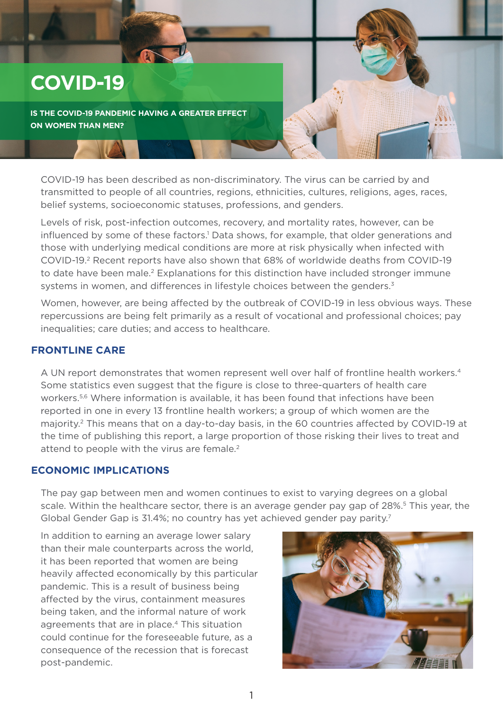# **COVID-19**

**IS THE COVID-19 PANDEMIC HAVING A GREATER EFFECT ON WOMEN THAN MEN?**

COVID-19 has been described as non-discriminatory. The virus can be carried by and transmitted to people of all countries, regions, ethnicities, cultures, religions, ages, races, belief systems, socioeconomic statuses, professions, and genders.

Levels of risk, post-infection outcomes, recovery, and mortality rates, however, can be influenced by some of these factors.<sup>1</sup> Data shows, for example, that older generations and those with underlying medical conditions are more at risk physically when infected with COVID-19.2 Recent reports have also shown that 68% of worldwide deaths from COVID-19 to date have been male.<sup>2</sup> Explanations for this distinction have included stronger immune systems in women, and differences in lifestyle choices between the genders.<sup>3</sup>

Women, however, are being affected by the outbreak of COVID-19 in less obvious ways. These repercussions are being felt primarily as a result of vocational and professional choices; pay inequalities; care duties; and access to healthcare.

#### **FRONTLINE CARE**

A UN report demonstrates that women represent well over half of frontline health workers.4 Some statistics even suggest that the figure is close to three-quarters of health care workers.<sup>5,6</sup> Where information is available, it has been found that infections have been reported in one in every 13 frontline health workers; a group of which women are the majority.2 This means that on a day-to-day basis, in the 60 countries affected by COVID-19 at the time of publishing this report, a large proportion of those risking their lives to treat and attend to people with the virus are female.<sup>2</sup>

#### **ECONOMIC IMPLICATIONS**

The pay gap between men and women continues to exist to varying degrees on a global scale. Within the healthcare sector, there is an average gender pay gap of 28%.<sup>5</sup> This year, the Global Gender Gap is 31.4%; no country has yet achieved gender pay parity.<sup>7</sup>

In addition to earning an average lower salary than their male counterparts across the world, it has been reported that women are being heavily affected economically by this particular pandemic. This is a result of business being affected by the virus, containment measures being taken, and the informal nature of work agreements that are in place.4 This situation could continue for the foreseeable future, as a consequence of the recession that is forecast post-pandemic.

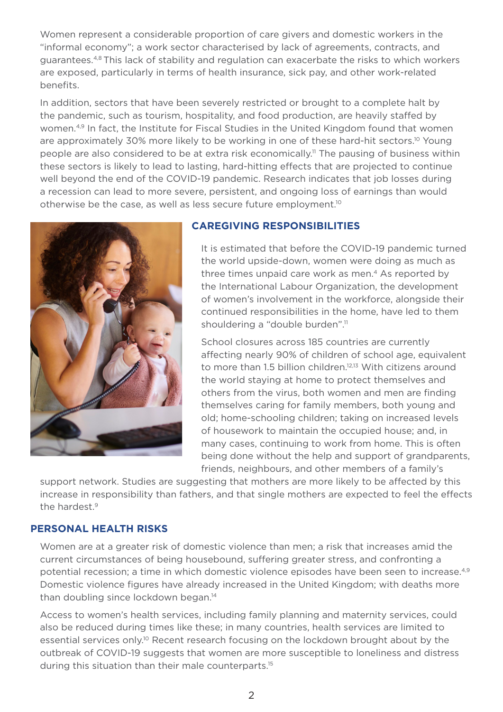Women represent a considerable proportion of care givers and domestic workers in the "informal economy"; a work sector characterised by lack of agreements, contracts, and guarantees.4,8 This lack of stability and regulation can exacerbate the risks to which workers are exposed, particularly in terms of health insurance, sick pay, and other work-related benefits.

In addition, sectors that have been severely restricted or brought to a complete halt by the pandemic, such as tourism, hospitality, and food production, are heavily staffed by women.<sup>4,9</sup> In fact, the Institute for Fiscal Studies in the United Kingdom found that women are approximately 30% more likely to be working in one of these hard-hit sectors.<sup>10</sup> Young people are also considered to be at extra risk economically.11 The pausing of business within these sectors is likely to lead to lasting, hard-hitting effects that are projected to continue well beyond the end of the COVID-19 pandemic. Research indicates that job losses during a recession can lead to more severe, persistent, and ongoing loss of earnings than would otherwise be the case, as well as less secure future employment.10



#### **CAREGIVING RESPONSIBILITIES**

It is estimated that before the COVID-19 pandemic turned the world upside-down, women were doing as much as three times unpaid care work as men.<sup>4</sup> As reported by the International Labour Organization, the development of women's involvement in the workforce, alongside their continued responsibilities in the home, have led to them shouldering a "double burden".<sup>11</sup>

School closures across 185 countries are currently affecting nearly 90% of children of school age, equivalent to more than 1.5 billion children.<sup>12,13</sup> With citizens around the world staying at home to protect themselves and others from the virus, both women and men are finding themselves caring for family members, both young and old; home-schooling children; taking on increased levels of housework to maintain the occupied house; and, in many cases, continuing to work from home. This is often being done without the help and support of grandparents, friends, neighbours, and other members of a family's

support network. Studies are suggesting that mothers are more likely to be affected by this increase in responsibility than fathers, and that single mothers are expected to feel the effects the hardest.<sup>9</sup>

## **PERSONAL HEALTH RISKS**

Women are at a greater risk of domestic violence than men; a risk that increases amid the current circumstances of being housebound, suffering greater stress, and confronting a potential recession; a time in which domestic violence episodes have been seen to increase.<sup>4,9</sup> Domestic violence figures have already increased in the United Kingdom; with deaths more than doubling since lockdown began.<sup>14</sup>

Access to women's health services, including family planning and maternity services, could also be reduced during times like these; in many countries, health services are limited to essential services only.<sup>10</sup> Recent research focusing on the lockdown brought about by the outbreak of COVID-19 suggests that women are more susceptible to loneliness and distress during this situation than their male counterparts.<sup>15</sup>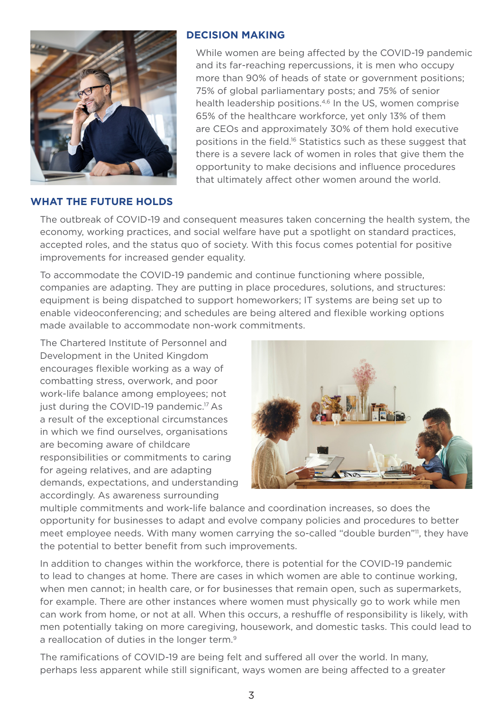

### **DECISION MAKING**

While women are being affected by the COVID-19 pandemic and its far-reaching repercussions, it is men who occupy more than 90% of heads of state or government positions; 75% of global parliamentary posts; and 75% of senior health leadership positions.<sup>4,6</sup> In the US, women comprise 65% of the healthcare workforce, yet only 13% of them are CEOs and approximately 30% of them hold executive positions in the field.16 Statistics such as these suggest that there is a severe lack of women in roles that give them the opportunity to make decisions and influence procedures that ultimately affect other women around the world.

#### **WHAT THE FUTURE HOLDS**

The outbreak of COVID-19 and consequent measures taken concerning the health system, the economy, working practices, and social welfare have put a spotlight on standard practices, accepted roles, and the status quo of society. With this focus comes potential for positive improvements for increased gender equality.

To accommodate the COVID-19 pandemic and continue functioning where possible, companies are adapting. They are putting in place procedures, solutions, and structures: equipment is being dispatched to support homeworkers; IT systems are being set up to enable videoconferencing; and schedules are being altered and flexible working options made available to accommodate non-work commitments.

The Chartered Institute of Personnel and Development in the United Kingdom encourages flexible working as a way of combatting stress, overwork, and poor work-life balance among employees; not just during the COVID-19 pandemic.<sup>17</sup> As a result of the exceptional circumstances in which we find ourselves, organisations are becoming aware of childcare responsibilities or commitments to caring for ageing relatives, and are adapting demands, expectations, and understanding accordingly. As awareness surrounding



multiple commitments and work-life balance and coordination increases, so does the opportunity for businesses to adapt and evolve company policies and procedures to better meet employee needs. With many women carrying the so-called "double burden"<sup>11</sup>, they have the potential to better benefit from such improvements.

In addition to changes within the workforce, there is potential for the COVID-19 pandemic to lead to changes at home. There are cases in which women are able to continue working, when men cannot; in health care, or for businesses that remain open, such as supermarkets, for example. There are other instances where women must physically go to work while men can work from home, or not at all. When this occurs, a reshuffle of responsibility is likely, with men potentially taking on more caregiving, housework, and domestic tasks. This could lead to a reallocation of duties in the longer term.<sup>9</sup>

The ramifications of COVID-19 are being felt and suffered all over the world. In many, perhaps less apparent while still significant, ways women are being affected to a greater